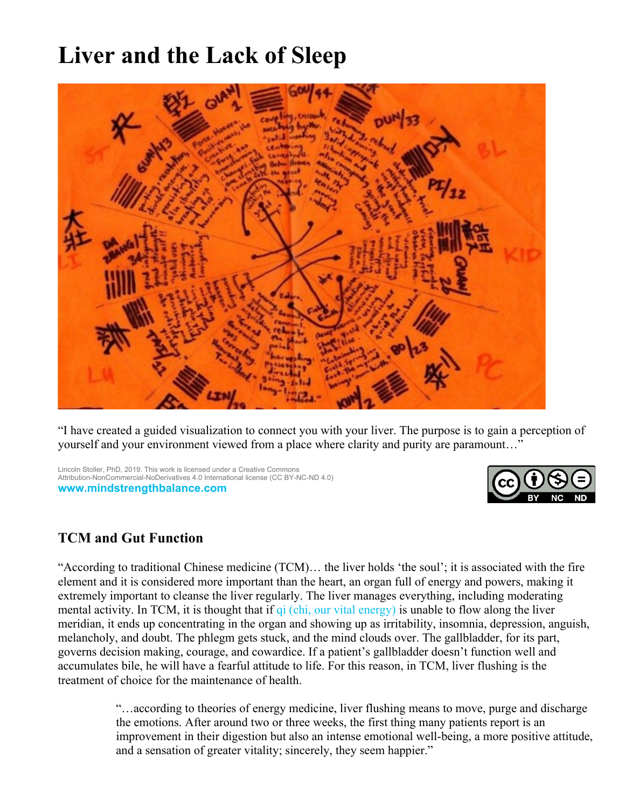# **Liver and the Lack of Sleep**



"I have created a guided visualization to connect you with your liver. The purpose is to gain a perception of yourself and your environment viewed from a place where clarity and purity are paramount…"

Lincoln Stoller, PhD, 2019. This work is licensed under a Creative Commons Attribution-NonCommercial-NoDerivatives 4.0 International license (CC BY-NC-ND 4.0) **[www.mindstrengthbalance.com](https://www.mindstrengthbalance.com/)**



# **TCM and Gut Function**

"According to traditional Chinese medicine (TCM)… the liver holds 'the soul'; it is associated with the fire element and it is considered more important than the heart, an organ full of energy and powers, making it extremely important to cleanse the liver regularly. The liver manages everything, including moderating mental activity. In TCM, it is thought that if [qi \(chi, our vital energy\)](https://www.consciouslifestylemag.com/qigong-exercises-healing-energy/) is unable to flow along the liver meridian, it ends up concentrating in the organ and showing up as irritability, insomnia, depression, anguish, melancholy, and doubt. The phlegm gets stuck, and the mind clouds over. The gallbladder, for its part, governs decision making, courage, and cowardice. If a patient's gallbladder doesn't function well and accumulates bile, he will have a fearful attitude to life. For this reason, in TCM, liver flushing is the treatment of choice for the maintenance of health.

> "…according to theories of energy medicine, liver flushing means to move, purge and discharge the emotions. After around two or three weeks, the first thing many patients report is an improvement in their digestion but also an intense emotional well-being, a more positive attitude, and a sensation of greater vitality; sincerely, they seem happier."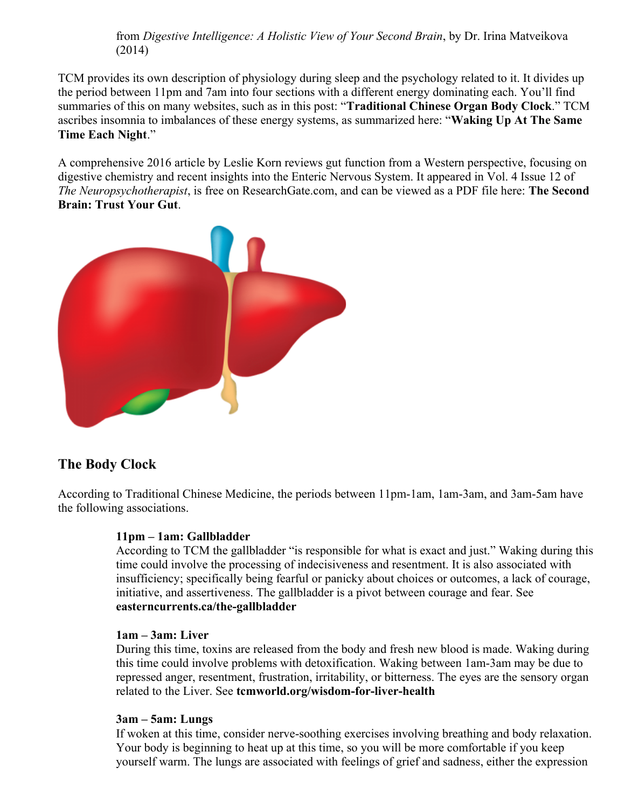from *Digestive Intelligence: A Holistic View of Your Second Brain*, by Dr. Irina Matveikova (2014)

TCM provides its own description of physiology during sleep and the psychology related to it. It divides up the period between 11pm and 7am into four sections with a different energy dominating each. You'll find summaries of this on many websites, such as in this post: "**[Traditional Chinese Organ Body Clock](https://foreverconscious.com/traditional-chinese-organ-body-clock)**." TCM ascribes insomnia to imbalances of these energy systems, as summarized here: "**[Waking Up At The Same](http://www.turningpointeacu.com/blog/2017/2/19/waking-up-at-the-same-time-each-night-the-chinese-medicine-body-clock-explains-why)  [Time Each Night](http://www.turningpointeacu.com/blog/2017/2/19/waking-up-at-the-same-time-each-night-the-chinese-medicine-body-clock-explains-why)**."

A comprehensive 2016 article by Leslie Korn reviews gut function from a Western perspective, focusing on digestive chemistry and recent insights into the Enteric Nervous System. It appeared in Vol. 4 Issue 12 of *The Neuropsychotherapist*, is free on ResearchGate.com, and can be viewed as a PDF file here: **[The Second](https://www.mindstrengthbalance.com/mindwp/wp-content/uploads/2019/01/Korn2016-SecondBrain.pdf)  [Brain: Trust Your Gut](https://www.mindstrengthbalance.com/mindwp/wp-content/uploads/2019/01/Korn2016-SecondBrain.pdf)**.



# **The Body Clock**

According to Traditional Chinese Medicine, the periods between 11pm-1am, 1am-3am, and 3am-5am have the following associations.

### **11pm – 1am: Gallbladder**

According to TCM the gallbladder "is responsible for what is exact and just." Waking during this time could involve the processing of indecisiveness and resentment. It is also associated with insufficiency; specifically being fearful or panicky about choices or outcomes, a lack of courage, initiative, and assertiveness. The gallbladder is a pivot between courage and fear. Se[e](https://www.easterncurrents.ca/for-practitioners/practitioners) **[easterncurrents.ca/the-gallbladder](https://www.easterncurrents.ca/for-practitioners/practitioners)**

#### **1am – 3am: Liver**

During this time, toxins are released from the body and fresh new blood is made. Waking during this time could involve problems with detoxification. Waking between 1am-3am may be due to repressed anger, resentment, frustration, irritability, or bitterness. The eyes are the sensory organ related to the Liver. See **[tcmworld.org/wisdom-for-liver-health](https://www.tcmworld.org/what-is-tcm/the-five-major-organ-systems/tcm-lifestyle-wisdom-for-liver-health/)**

#### **3am – 5am: Lungs**

If woken at this time, consider nerve-soothing exercises involving breathing and body relaxation. Your body is beginning to heat up at this time, so you will be more comfortable if you keep yourself warm. The lungs are associated with feelings of grief and sadness, either the expression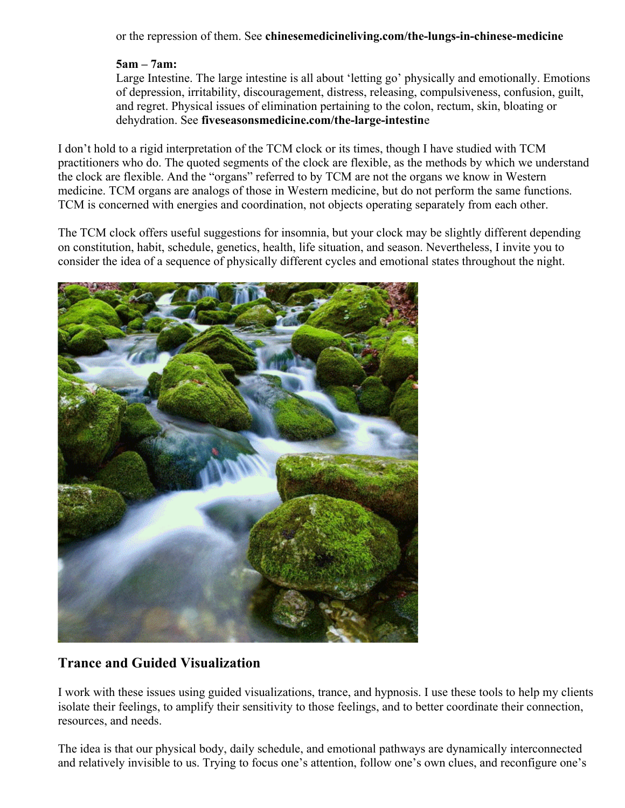or the repression of them. See **[chinesemedicineliving.com/the-lungs-in-chinese-medicine](https://www.chinesemedicineliving.com/medicine/organs/the-lungs-in-chinese-medicine/)**

## **5am – 7am:**

Large Intestine. The large intestine is all about 'letting go' physically and emotionally. Emotions of depression, irritability, discouragement, distress, releasing, compulsiveness, confusion, guilt, and regret. Physical issues of elimination pertaining to the colon, rectum, skin, bloating or dehydration. See **[fiveseasonsmedicine.com/the-large-intestin](https://fiveseasonsmedicine.com/the-large-intestine-channel-letting-go-of-whats-not-needed/)**e

I don't hold to a rigid interpretation of the TCM clock or its times, though I have studied with TCM practitioners who do. The quoted segments of the clock are flexible, as the methods by which we understand the clock are flexible. And the "organs" referred to by TCM are not the organs we know in Western medicine. TCM organs are analogs of those in Western medicine, but do not perform the same functions. TCM is concerned with energies and coordination, not objects operating separately from each other.

The TCM clock offers useful suggestions for insomnia, but your clock may be slightly different depending on constitution, habit, schedule, genetics, health, life situation, and season. Nevertheless, I invite you to consider the idea of a sequence of physically different cycles and emotional states throughout the night.



# **Trance and Guided Visualization**

I work with these issues using guided visualizations, trance, and hypnosis. I use these tools to help my clients isolate their feelings, to amplify their sensitivity to those feelings, and to better coordinate their connection, resources, and needs.

The idea is that our physical body, daily schedule, and emotional pathways are dynamically interconnected and relatively invisible to us. Trying to focus one's attention, follow one's own clues, and reconfigure one's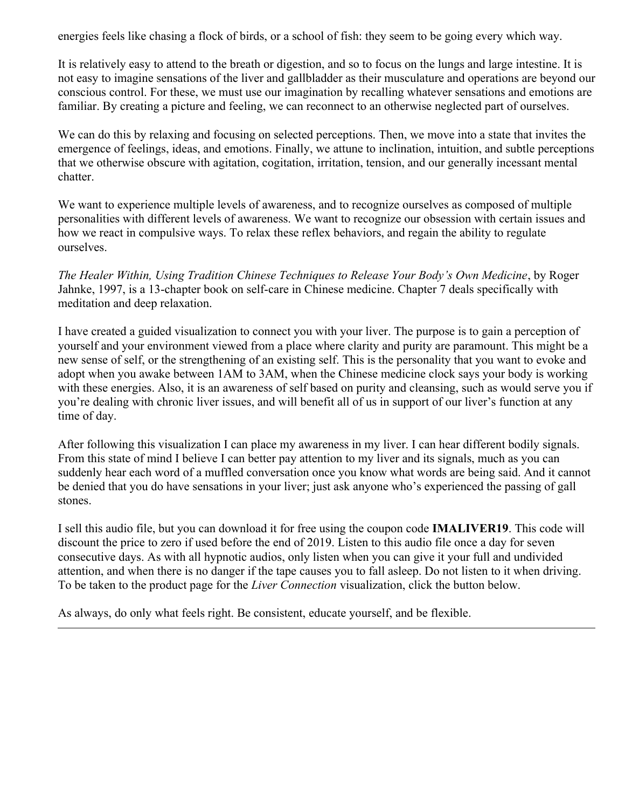energies feels like chasing a flock of birds, or a school of fish: they seem to be going every which way.

It is relatively easy to attend to the breath or digestion, and so to focus on the lungs and large intestine. It is not easy to imagine sensations of the liver and gallbladder as their musculature and operations are beyond our conscious control. For these, we must use our imagination by recalling whatever sensations and emotions are familiar. By creating a picture and feeling, we can reconnect to an otherwise neglected part of ourselves.

We can do this by relaxing and focusing on selected perceptions. Then, we move into a state that invites the emergence of feelings, ideas, and emotions. Finally, we attune to inclination, intuition, and subtle perceptions that we otherwise obscure with agitation, cogitation, irritation, tension, and our generally incessant mental chatter.

We want to experience multiple levels of awareness, and to recognize ourselves as composed of multiple personalities with different levels of awareness. We want to recognize our obsession with certain issues and how we react in compulsive ways. To relax these reflex behaviors, and regain the ability to regulate ourselves.

*The Healer Within, Using Tradition Chinese Techniques to Release Your Body's Own Medicine*, by Roger Jahnke, 1997, is a 13-chapter book on self-care in Chinese medicine. Chapter 7 deals specifically with meditation and deep relaxation.

I have created a guided visualization to connect you with your liver. The purpose is to gain a perception of yourself and your environment viewed from a place where clarity and purity are paramount. This might be a new sense of self, or the strengthening of an existing self. This is the personality that you want to evoke and adopt when you awake between 1AM to 3AM, when the Chinese medicine clock says your body is working with these energies. Also, it is an awareness of self based on purity and cleansing, such as would serve you if you're dealing with chronic liver issues, and will benefit all of us in support of our liver's function at any time of day.

After following this visualization I can place my awareness in my liver. I can hear different bodily signals. From this state of mind I believe I can better pay attention to my liver and its signals, much as you can suddenly hear each word of a muffled conversation once you know what words are being said. And it cannot be denied that you do have sensations in your liver; just ask anyone who's experienced the passing of gall stones.

I sell this audio file, but you can download it for free using the coupon code **IMALIVER19**. This code will discount the price to zero if used before the end of 2019. Listen to this audio file once a day for seven consecutive days. As with all hypnotic audios, only listen when you can give it your full and undivided attention, and when there is no danger if the tape causes you to fall asleep. Do not listen to it when driving. To be taken to the product page for the *Liver Connection* visualization, click the button below.

As always, do only what feels right. Be consistent, educate yourself, and be flexible.